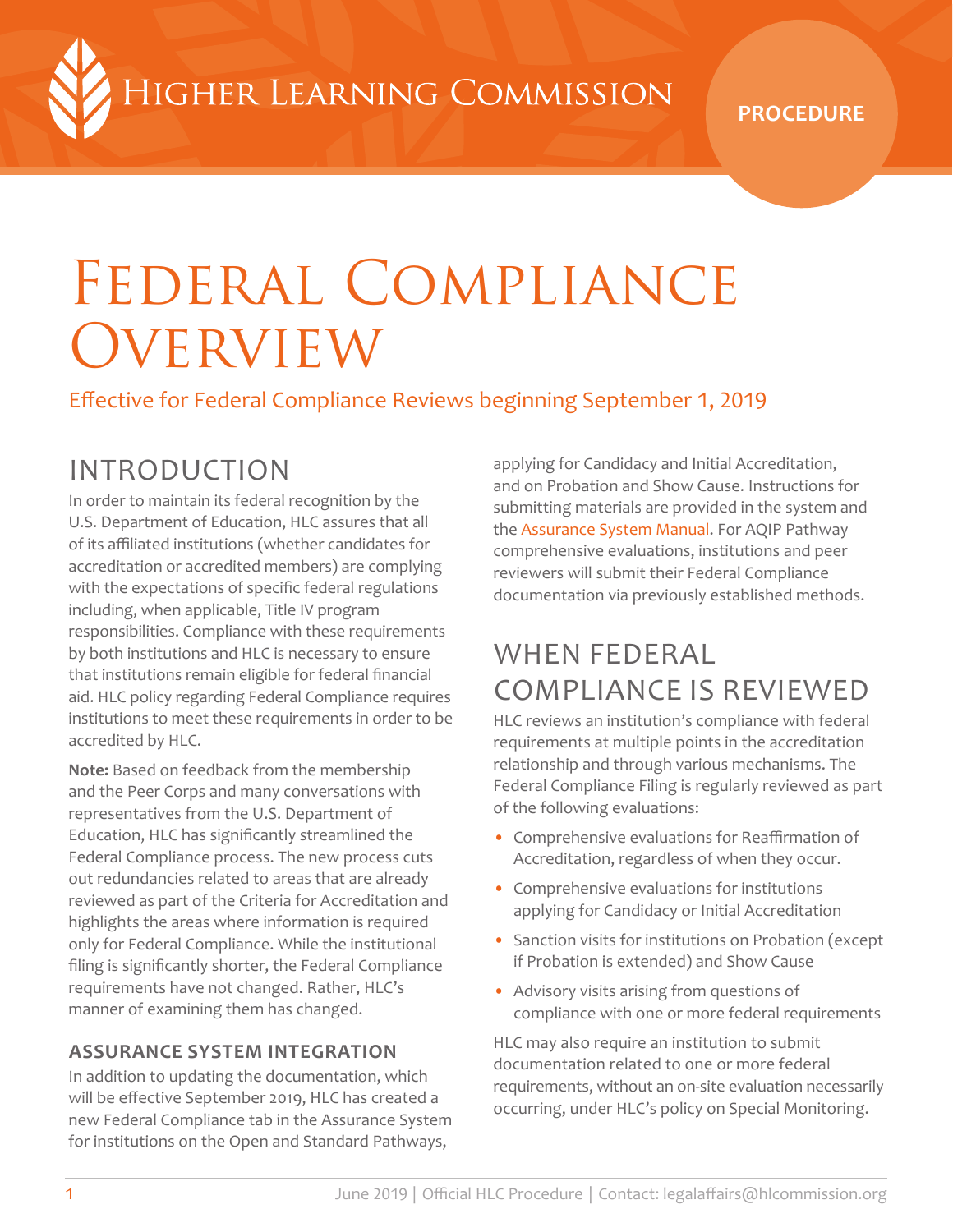HIGHER LEARNING COMMISSION

**PROCEDURE**

# Federal Compliance **OVERVIEW**

Effective for Federal Compliance Reviews beginning September 1, 2019

# INTRODUCTION

In order to maintain its federal recognition by the U.S. Department of Education, HLC assures that all of its affiliated institutions (whether candidates for accreditation or accredited members) are complying with the expectations of specific federal regulations including, when applicable, Title IV program responsibilities. Compliance with these requirements by both institutions and HLC is necessary to ensure that institutions remain eligible for federal financial aid. HLC policy regarding Federal Compliance requires institutions to meet these requirements in order to be accredited by HLC.

**Note:** Based on feedback from the membership and the Peer Corps and many conversations with representatives from the U.S. Department of Education, HLC has significantly streamlined the Federal Compliance process. The new process cuts out redundancies related to areas that are already reviewed as part of the Criteria for Accreditation and highlights the areas where information is required only for Federal Compliance. While the institutional filing is significantly shorter, the Federal Compliance requirements have not changed. Rather, HLC's manner of examining them has changed.

### **ASSURANCE SYSTEM INTEGRATION**

In addition to updating the documentation, which will be effective September 2019, HLC has created a new Federal Compliance tab in the Assurance System for institutions on the Open and Standard Pathways,

applying for Candidacy and Initial Accreditation, and on Probation and Show Cause. Instructions for submitting materials are provided in the system and the **Assurance System Manual**. For AQIP Pathway comprehensive evaluations, institutions and peer reviewers will submit their Federal Compliance documentation via previously established methods.

## WHEN FEDERAL COMPLIANCE IS REVIEWED

HLC reviews an institution's compliance with federal requirements at multiple points in the accreditation relationship and through various mechanisms. The Federal Compliance Filing is regularly reviewed as part of the following evaluations:

- Comprehensive evaluations for Reaffirmation of Accreditation, regardless of when they occur.
- Comprehensive evaluations for institutions applying for Candidacy or Initial Accreditation
- Sanction visits for institutions on Probation (except if Probation is extended) and Show Cause
- Advisory visits arising from questions of compliance with one or more federal requirements

HLC may also require an institution to submit documentation related to one or more federal requirements, without an on-site evaluation necessarily occurring, under HLC's policy on Special Monitoring.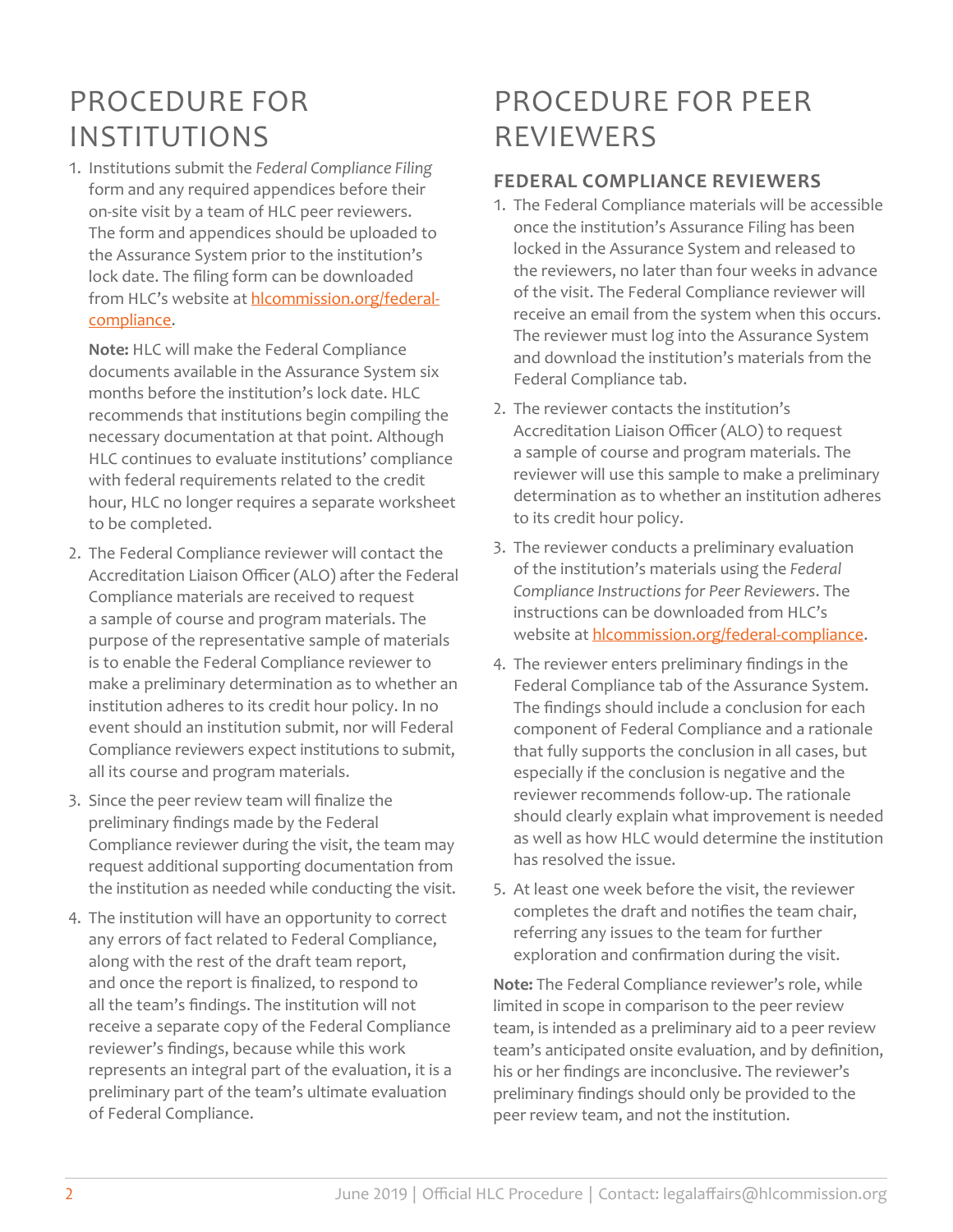# PROCEDURE FOR INSTITUTIONS

1. Institutions submit the *Federal Compliance Filing* form and any required appendices before their on-site visit by a team of HLC peer reviewers. The form and appendices should be uploaded to the Assurance System prior to the institution's lock date. The filing form can be downloaded from HLC's website at [hlcommission.org/federal](https://www.hlcommission.org/federal-compliance)[compliance](https://www.hlcommission.org/federal-compliance).

**Note:** HLC will make the Federal Compliance documents available in the Assurance System six months before the institution's lock date. HLC recommends that institutions begin compiling the necessary documentation at that point. Although HLC continues to evaluate institutions' compliance with federal requirements related to the credit hour, HLC no longer requires a separate worksheet to be completed.

- 2. The Federal Compliance reviewer will contact the Accreditation Liaison Officer (ALO) after the Federal Compliance materials are received to request a sample of course and program materials. The purpose of the representative sample of materials is to enable the Federal Compliance reviewer to make a preliminary determination as to whether an institution adheres to its credit hour policy. In no event should an institution submit, nor will Federal Compliance reviewers expect institutions to submit, all its course and program materials.
- 3. Since the peer review team will finalize the preliminary findings made by the Federal Compliance reviewer during the visit, the team may request additional supporting documentation from the institution as needed while conducting the visit.
- 4. The institution will have an opportunity to correct any errors of fact related to Federal Compliance, along with the rest of the draft team report, and once the report is finalized, to respond to all the team's findings. The institution will not receive a separate copy of the Federal Compliance reviewer's findings, because while this work represents an integral part of the evaluation, it is a preliminary part of the team's ultimate evaluation of Federal Compliance.

# PROCEDURE FOR PEER **REVIEWERS**

### **FEDERAL COMPLIANCE REVIEWERS**

- 1. The Federal Compliance materials will be accessible once the institution's Assurance Filing has been locked in the Assurance System and released to the reviewers, no later than four weeks in advance of the visit. The Federal Compliance reviewer will receive an email from the system when this occurs. The reviewer must log into the Assurance System and download the institution's materials from the Federal Compliance tab.
- 2. The reviewer contacts the institution's Accreditation Liaison Officer (ALO) to request a sample of course and program materials. The reviewer will use this sample to make a preliminary determination as to whether an institution adheres to its credit hour policy.
- 3. The reviewer conducts a preliminary evaluation of the institution's materials using the *Federal Compliance Instructions for Peer Reviewers*. The instructions can be downloaded from HLC's website at hicommission.org/federal-compliance.
- 4. The reviewer enters preliminary findings in the Federal Compliance tab of the Assurance System. The findings should include a conclusion for each component of Federal Compliance and a rationale that fully supports the conclusion in all cases, but especially if the conclusion is negative and the reviewer recommends follow-up. The rationale should clearly explain what improvement is needed as well as how HLC would determine the institution has resolved the issue.
- 5. At least one week before the visit, the reviewer completes the draft and notifies the team chair, referring any issues to the team for further exploration and confirmation during the visit.

**Note:** The Federal Compliance reviewer's role, while limited in scope in comparison to the peer review team, is intended as a preliminary aid to a peer review team's anticipated onsite evaluation, and by definition, his or her findings are inconclusive. The reviewer's preliminary findings should only be provided to the peer review team, and not the institution.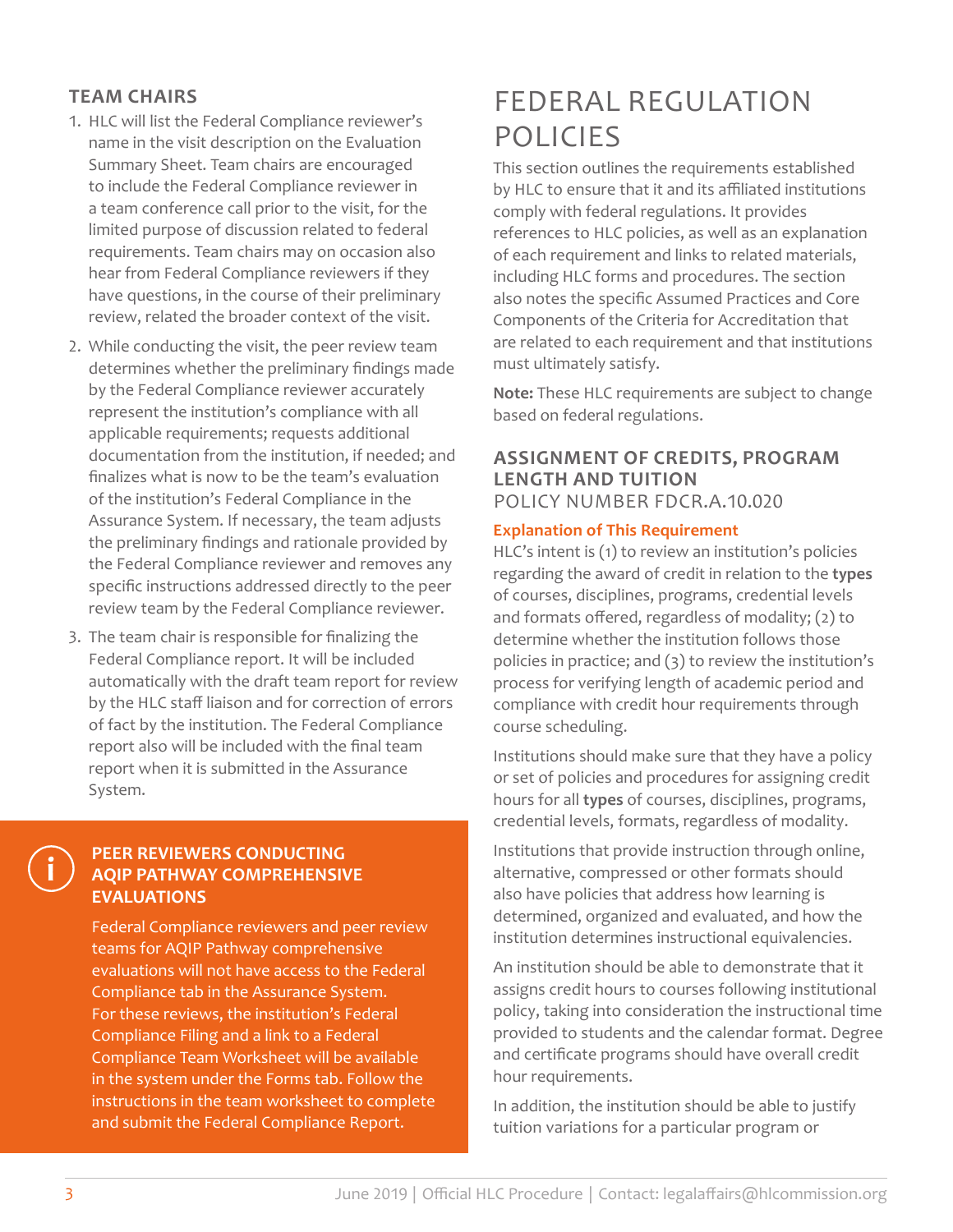### **TEAM CHAIRS**

- 1. HLC will list the Federal Compliance reviewer's name in the visit description on the Evaluation Summary Sheet. Team chairs are encouraged to include the Federal Compliance reviewer in a team conference call prior to the visit, for the limited purpose of discussion related to federal requirements. Team chairs may on occasion also hear from Federal Compliance reviewers if they have questions, in the course of their preliminary review, related the broader context of the visit.
- 2. While conducting the visit, the peer review team determines whether the preliminary findings made by the Federal Compliance reviewer accurately represent the institution's compliance with all applicable requirements; requests additional documentation from the institution, if needed; and finalizes what is now to be the team's evaluation of the institution's Federal Compliance in the Assurance System. If necessary, the team adjusts the preliminary findings and rationale provided by the Federal Compliance reviewer and removes any specific instructions addressed directly to the peer review team by the Federal Compliance reviewer.
- 3. The team chair is responsible for finalizing the Federal Compliance report. It will be included automatically with the draft team report for review by the HLC staff liaison and for correction of errors of fact by the institution. The Federal Compliance report also will be included with the final team report when it is submitted in the Assurance System.

### **PEER REVIEWERS CONDUCTING AQIP PATHWAY COMPREHENSIVE EVALUATIONS**

Federal Compliance reviewers and peer review teams for AQIP Pathway comprehensive evaluations will not have access to the Federal Compliance tab in the Assurance System. For these reviews, the institution's Federal Compliance Filing and a link to a Federal Compliance Team Worksheet will be available in the system under the Forms tab. Follow the instructions in the team worksheet to complete and submit the Federal Compliance Report.

# FEDERAL REGULATION POLICIES

This section outlines the requirements established by HLC to ensure that it and its affiliated institutions comply with federal regulations. It provides references to HLC policies, as well as an explanation of each requirement and links to related materials, including HLC forms and procedures. The section also notes the specific Assumed Practices and Core Components of the Criteria for Accreditation that are related to each requirement and that institutions must ultimately satisfy.

**Note:** These HLC requirements are subject to change based on federal regulations.

### **ASSIGNMENT OF CREDITS, PROGRAM LENGTH AND TUITION** POLICY NUMBER FDCR.A.10.020

### **Explanation of This Requirement**

HLC's intent is (1) to review an institution's policies regarding the award of credit in relation to the **types** of courses, disciplines, programs, credential levels and formats offered, regardless of modality; (2) to determine whether the institution follows those policies in practice; and (3) to review the institution's process for verifying length of academic period and compliance with credit hour requirements through course scheduling.

Institutions should make sure that they have a policy or set of policies and procedures for assigning credit hours for all **types** of courses, disciplines, programs, credential levels, formats, regardless of modality.

Institutions that provide instruction through online, alternative, compressed or other formats should also have policies that address how learning is determined, organized and evaluated, and how the institution determines instructional equivalencies.

An institution should be able to demonstrate that it assigns credit hours to courses following institutional policy, taking into consideration the instructional time provided to students and the calendar format. Degree and certificate programs should have overall credit hour requirements.

In addition, the institution should be able to justify tuition variations for a particular program or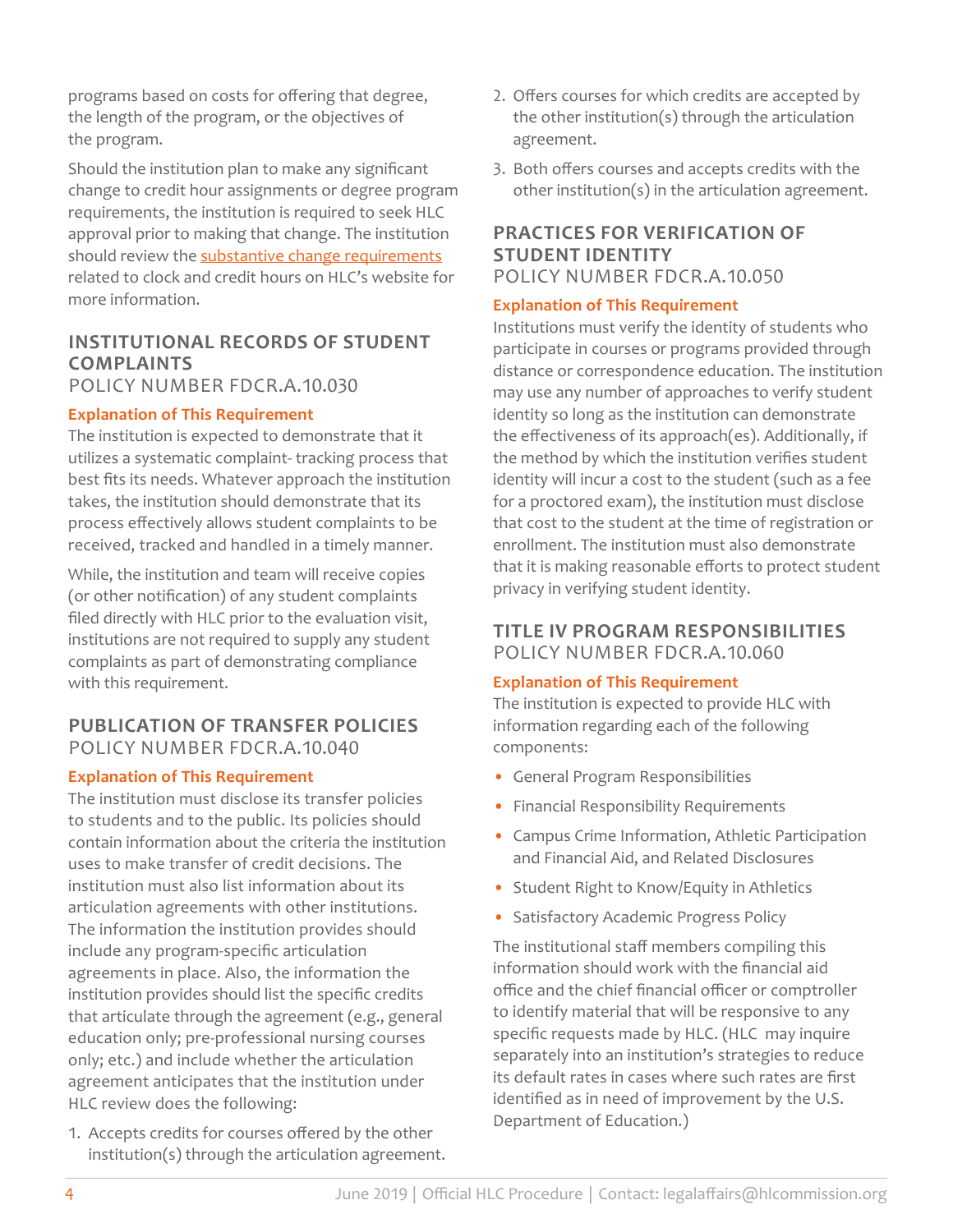programs based on costs for offering that degree, the length of the program, or the objectives of the program.

Should the institution plan to make any significant change to credit hour assignments or degree program requirements, the institution is required to seek HLC approval prior to making that change. The institution should review the [substantive change requirements](https://www.hlcommission.org/Accreditation/institutional-change-clock-hours-credit-hours-and-length-of-term.html) related to clock and credit hours on HLC's website for more information.

### **INSTITUTIONAL RECORDS OF STUDENT COMPLAINTS** POLICY NUMBER FDCR.A.10.030

### **Explanation of This Requirement**

The institution is expected to demonstrate that it utilizes a systematic complaint- tracking process that best fits its needs. Whatever approach the institution takes, the institution should demonstrate that its process effectively allows student complaints to be received, tracked and handled in a timely manner.

While, the institution and team will receive copies (or other notification) of any student complaints filed directly with HLC prior to the evaluation visit, institutions are not required to supply any student complaints as part of demonstrating compliance with this requirement.

### **PUBLICATION OF TRANSFER POLICIES** POLICY NUMBER FDCR.A.10.040

### **Explanation of This Requirement**

The institution must disclose its transfer policies to students and to the public. Its policies should contain information about the criteria the institution uses to make transfer of credit decisions. The institution must also list information about its articulation agreements with other institutions. The information the institution provides should include any program-specific articulation agreements in place. Also, the information the institution provides should list the specific credits that articulate through the agreement (e.g., general education only; pre-professional nursing courses only; etc.) and include whether the articulation agreement anticipates that the institution under HLC review does the following:

1. Accepts credits for courses offered by the other institution(s) through the articulation agreement.

- 2. Offers courses for which credits are accepted by the other institution(s) through the articulation agreement.
- 3. Both offers courses and accepts credits with the other institution(s) in the articulation agreement.

### **PRACTICES FOR VERIFICATION OF STUDENT IDENTITY** POLICY NUMBER FDCR.A.10.050

### **Explanation of This Requirement**

Institutions must verify the identity of students who participate in courses or programs provided through distance or correspondence education. The institution may use any number of approaches to verify student identity so long as the institution can demonstrate the effectiveness of its approach(es). Additionally, if the method by which the institution verifies student identity will incur a cost to the student (such as a fee for a proctored exam), the institution must disclose that cost to the student at the time of registration or enrollment. The institution must also demonstrate that it is making reasonable efforts to protect student privacy in verifying student identity.

### **TITLE IV PROGRAM RESPONSIBILITIES** POLICY NUMBER FDCR.A.10.060

### **Explanation of This Requirement**

The institution is expected to provide HLC with information regarding each of the following components:

- General Program Responsibilities
- Financial Responsibility Requirements
- Campus Crime Information, Athletic Participation and Financial Aid, and Related Disclosures
- Student Right to Know/Equity in Athletics
- Satisfactory Academic Progress Policy

The institutional staff members compiling this information should work with the financial aid office and the chief financial officer or comptroller to identify material that will be responsive to any specific requests made by HLC. (HLC may inquire separately into an institution's strategies to reduce its default rates in cases where such rates are first identified as in need of improvement by the U.S. Department of Education.)